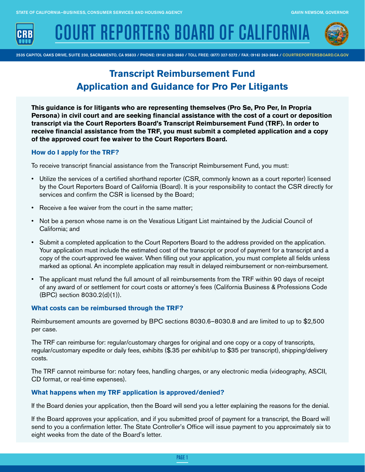

**COURT REPORTERS BOARD OF CALIFOR** 



2535 CAPITOL OAKS DRIVE, SUITE 230, SACRAMENTO, CA 95833 / PHONE: (916) 263-3660 / TOLL FREE: (877) 327-5272 / FAX: (916) 263-3664 / [COURTREPORTERSBOARD.CA.GOV](http://COURTREPORTERSBOARD.CA.GOV)

# **Transcript Reimbursement Fund Application and Guidance for Pro Per Litigants**

**This guidance is for litigants who are representing themselves (Pro Se, Pro Per, In Propria Persona) in civil court and are seeking financial assistance with the cost of a court or deposition transcript via the Court Reporters Board's Transcript Reimbursement Fund (TRF). In order to receive financial assistance from the TRF, you must submit a completed application and a copy of the approved court fee waiver to the Court Reporters Board.**

## **How do I apply for the TRF?**

To receive transcript financial assistance from the Transcript Reimbursement Fund, you must:

- Utilize the services of a certified shorthand reporter (CSR, commonly known as a court reporter) licensed by the Court Reporters Board of California (Board). It is your responsibility to contact the CSR directly for services and confirm the CSR is licensed by the Board;
- Receive a fee waiver from the court in the same matter;
- Not be a person whose name is on the Vexatious Litigant List maintained by the Judicial Council of California; and
- Submit a completed application to the Court Reporters Board to the address provided on the application. Your application must include the estimated cost of the transcript or proof of payment for a transcript and a copy of the court-approved fee waiver. When filling out your application, you must complete all fields unless marked as optional. An incomplete application may result in delayed reimbursement or non-reimbursement.
- The applicant must refund the full amount of all reimbursements from the TRF within 90 days of receipt of any award of or settlement for court costs or attorney's fees (California Business & Professions Code (BPC) section 8030.2(d)(1)).

# **What costs can be reimbursed through the TRF?**

Reimbursement amounts are governed by BPC sections 8030.6–8030.8 and are limited to up to \$2,500 per case.

The TRF can reimburse for: regular/customary charges for original and one copy or a copy of transcripts, regular/customary expedite or daily fees, exhibits (\$.35 per exhibit/up to \$35 per transcript), shipping/delivery costs.

The TRF cannot reimburse for: notary fees, handling charges, or any electronic media (videography, ASCII, CD format, or real-time expenses).

## **What happens when my TRF application is approved/denied?**

If the Board denies your application, then the Board will send you a letter explaining the reasons for the denial.

If the Board approves your application, and if you submitted proof of payment for a transcript, the Board will send to you a confirmation letter. The State Controller's Office will issue payment to you approximately six to eight weeks from the date of the Board's letter.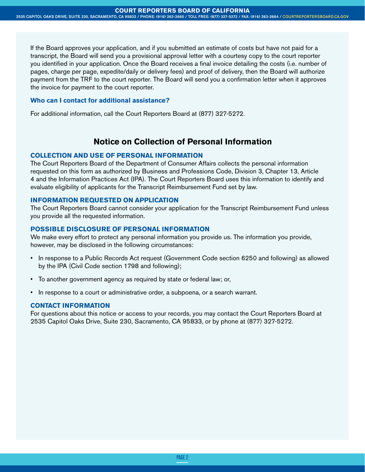If the Board approves your application, and if you submitted an estimate of costs but have not paid for a transcript, the Board will send you a provisional approval letter with a courtesy copy to the court reporter you identified in your application. Once the Board receives a final invoice detailing the costs (i.e. number of pages, charge per page, expedite/daily or delivery fees) and proof of delivery, then the Board will authorize payment from the TRF to the court reporter. The Board will send you a confirmation letter when it approves the invoice for payment to the court reporter.

### **Who can I contact for additional assistance?**

For additional information, call the Court Reporters Board at (877) 327-5272.

# **Notice on Collection of Personal Information**

# **COLLECTION AND USE OF PERSONAL INFORMATION**

The Court Reporters Board of the Department of Consumer Affairs collects the personal information requested on this form as authorized by Business and Professions Code, Division 3, Chapter 13, Article 4 and the Information Practices Act (IPA). The Court Reporters Board uses this information to identify and evaluate eligibility of applicants for the Transcript Reimbursement Fund set by law.

### **INFORMATION REQUESTED ON APPLICATION**

The Court Reporters Board cannot consider your application for the Transcript Reimbursement Fund unless you provide all the requested information.

## **POSSIBLE DISCLOSURE OF PERSONAL INFORMATION**

We make every effort to protect any personal information you provide us. The information you provide, however, may be disclosed in the following circumstances:

- In response to a Public Records Act request (Government Code section 6250 and following) as allowed by the IPA (Civil Code section 1798 and following);
- To another government agency as required by state or federal law; or,
- In response to a court or administrative order, a subpoena, or a search warrant.

#### **CONTACT INFORMATION**

For questions about this notice or access to your records, you may contact the Court Reporters Board at 2535 Capitol Oaks Drive, Suite 230, Sacramento, CA 95833, or by phone at (877) 327-5272.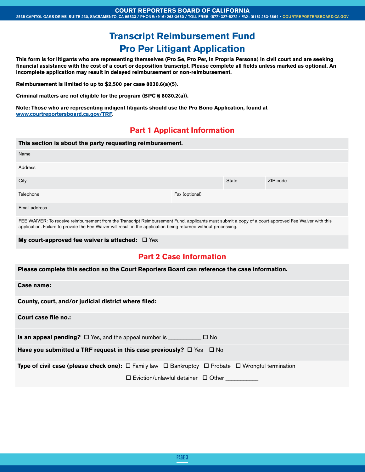#### **COURT REPORTERS BOARD OF CALIFORNIA**

# **Transcript Reimbursement Fund Pro Per Litigant Application**

**This form is for litigants who are representing themselves (Pro Se, Pro Per, In Propria Persona) in civil court and are seeking financial assistance with the cost of a court or deposition transcript. Please complete all fields unless marked as optional. An incomplete application may result in delayed reimbursement or non-reimbursement.**

**Reimbursement is limited to up to \$2,500 per case 8030.6(a)(5).** 

**Criminal matters are not eligible for the program (BPC § 8030.2(a)).**

**Note: Those who are representing indigent litigants should use the Pro Bono Application, found at www.courtreportersboard.ca.gov/TRF.**

# **Part 1 Applicant Information**

| This section is about the party requesting reimbursement.                                                                                                                                                                                                               |                |              |          |  |  |  |
|-------------------------------------------------------------------------------------------------------------------------------------------------------------------------------------------------------------------------------------------------------------------------|----------------|--------------|----------|--|--|--|
| Name                                                                                                                                                                                                                                                                    |                |              |          |  |  |  |
| Address                                                                                                                                                                                                                                                                 |                |              |          |  |  |  |
| City                                                                                                                                                                                                                                                                    |                | <b>State</b> | ZIP code |  |  |  |
| Telephone                                                                                                                                                                                                                                                               | Fax (optional) |              |          |  |  |  |
| Email address                                                                                                                                                                                                                                                           |                |              |          |  |  |  |
| FEE WAIVER: To receive reimbursement from the Transcript Reimbursement Fund, applicants must submit a copy of a court-approved Fee Waiver with this<br>application. Failure to provide the Fee Waiver will result in the application being returned without processing. |                |              |          |  |  |  |

**My court-approved fee waiver is attached:** □ Yes

# **Part 2 Case Information**

| Please complete this section so the Court Reporters Board can reference the case information. |  |  |
|-----------------------------------------------------------------------------------------------|--|--|
|                                                                                               |  |  |

#### **Case name:**

**County, court, and/or judicial district where filed:**

**Court case file no.:**

**Is an appeal pending?**  $\Box$  Yes, and the appeal number is  $\Box$  No

**Have you submitted a TRF request in this case previously?**  $\Box$  Yes  $\Box$  No

**Type of civil case (please check one):** □ Family law □ Bankruptcy □ Probate □ Wrongful termination

 $\square$  Eviction/unlawful detainer  $\square$  Other \_